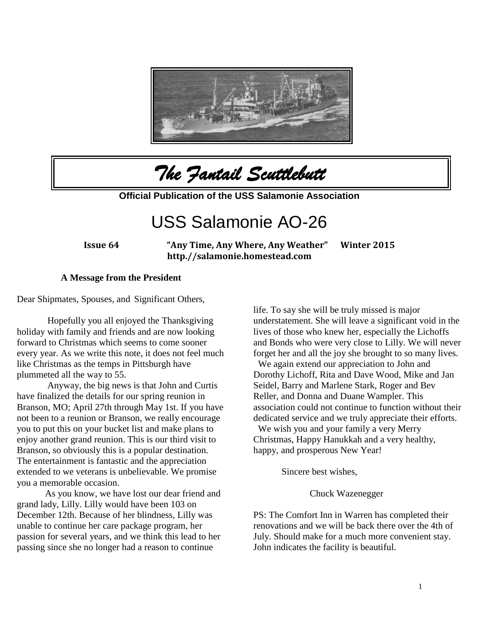

*The Fantail Scuttlebutt* 

**Official Publication of the USS Salamonie Association**

# USS Salamonie AO-26

**Issue 64 "Any Time, Any Where, Any Weather" Winter 2015 http.//salamonie.homestead.com**

#### **A Message from the President**

Dear Shipmates, Spouses, and Significant Others,

Hopefully you all enjoyed the Thanksgiving holiday with family and friends and are now looking forward to Christmas which seems to come sooner every year. As we write this note, it does not feel much like Christmas as the temps in Pittsburgh have plummeted all the way to 55.

Anyway, the big news is that John and Curtis have finalized the details for our spring reunion in Branson, MO; April 27th through May 1st. If you have not been to a reunion or Branson, we really encourage you to put this on your bucket list and make plans to enjoy another grand reunion. This is our third visit to Branson, so obviously this is a popular destination. The entertainment is fantastic and the appreciation extended to we veterans is unbelievable. We promise you a memorable occasion.

As you know, we have lost our dear friend and grand lady, Lilly. Lilly would have been 103 on December 12th. Because of her blindness, Lilly was unable to continue her care package program, her passion for several years, and we think this lead to her passing since she no longer had a reason to continue

life. To say she will be truly missed is major understatement. She will leave a significant void in the lives of those who knew her, especially the Lichoffs and Bonds who were very close to Lilly. We will never forget her and all the joy she brought to so many lives.

We again extend our appreciation to John and Dorothy Lichoff, Rita and Dave Wood, Mike and Jan Seidel, Barry and Marlene Stark, Roger and Bev Reller, and Donna and Duane Wampler. This association could not continue to function without their dedicated service and we truly appreciate their efforts.

We wish you and your family a very Merry Christmas, Happy Hanukkah and a very healthy, happy, and prosperous New Year!

Sincere best wishes,

Chuck Wazenegger

PS: The Comfort Inn in Warren has completed their renovations and we will be back there over the 4th of July. Should make for a much more convenient stay. John indicates the facility is beautiful.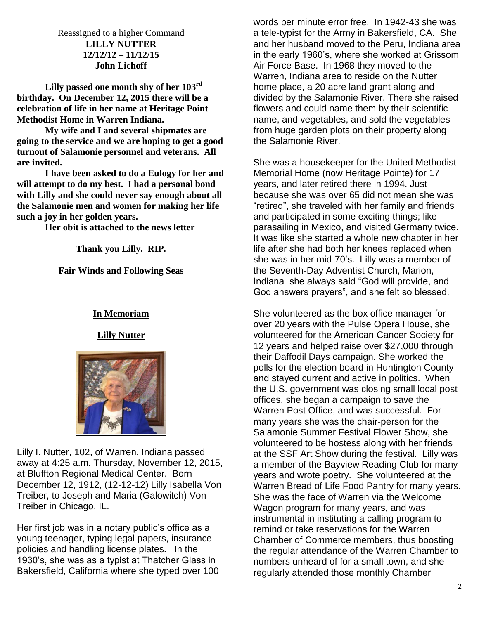Reassigned to a higher Command **LILLY NUTTER 12/12/12 – 11/12/15 John Lichoff**

**Lilly passed one month shy of her 103rd birthday. On December 12, 2015 there will be a celebration of life in her name at Heritage Point Methodist Home in Warren Indiana.**

**My wife and I and several shipmates are going to the service and we are hoping to get a good turnout of Salamonie personnel and veterans. All are invited.**

**I have been asked to do a Eulogy for her and will attempt to do my best. I had a personal bond with Lilly and she could never say enough about all the Salamonie men and women for making her life such a joy in her golden years.**

**Her obit is attached to the news letter**

**Thank you Lilly. RIP.**

**Fair Winds and Following Seas**

#### **In Memoriam**

**Lilly Nutter**



Lilly I. Nutter, 102, of Warren, Indiana passed away at 4:25 a.m. Thursday, November 12, 2015, at Bluffton Regional Medical Center. Born December 12, 1912, (12-12-12) Lilly Isabella Von Treiber, to Joseph and Maria (Galowitch) Von Treiber in Chicago, IL.

Her first job was in a notary public's office as a young teenager, typing legal papers, insurance policies and handling license plates. In the 1930's, she was as a typist at Thatcher Glass in Bakersfield, California where she typed over 100 words per minute error free. In 1942-43 she was a tele-typist for the Army in Bakersfield, CA. She and her husband moved to the Peru, Indiana area in the early 1960's, where she worked at Grissom Air Force Base. In 1968 they moved to the Warren, Indiana area to reside on the Nutter home place, a 20 acre land grant along and divided by the Salamonie River. There she raised flowers and could name them by their scientific name, and vegetables, and sold the vegetables from huge garden plots on their property along the Salamonie River.

She was a housekeeper for the United Methodist Memorial Home (now Heritage Pointe) for 17 years, and later retired there in 1994. Just because she was over 65 did not mean she was "retired", she traveled with her family and friends and participated in some exciting things; like parasailing in Mexico, and visited Germany twice. It was like she started a whole new chapter in her life after she had both her knees replaced when she was in her mid-70's. Lilly was a member of the Seventh-Day Adventist Church, Marion, Indiana she always said "God will provide, and God answers prayers", and she felt so blessed.

She volunteered as the box office manager for over 20 years with the Pulse Opera House, she volunteered for the American Cancer Society for 12 years and helped raise over \$27,000 through their Daffodil Days campaign. She worked the polls for the election board in Huntington County and stayed current and active in politics. When the U.S. government was closing small local post offices, she began a campaign to save the Warren Post Office, and was successful. For many years she was the chair-person for the Salamonie Summer Festival Flower Show, she volunteered to be hostess along with her friends at the SSF Art Show during the festival. Lilly was a member of the Bayview Reading Club for many years and wrote poetry. She volunteered at the Warren Bread of Life Food Pantry for many years. She was the face of Warren via the Welcome Wagon program for many years, and was instrumental in instituting a calling program to remind or take reservations for the Warren Chamber of Commerce members, thus boosting the regular attendance of the Warren Chamber to numbers unheard of for a small town, and she regularly attended those monthly Chamber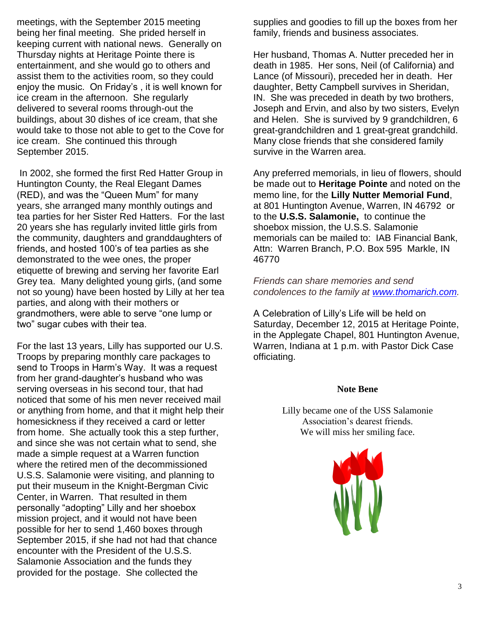meetings, with the September 2015 meeting being her final meeting. She prided herself in keeping current with national news. Generally on Thursday nights at Heritage Pointe there is entertainment, and she would go to others and assist them to the activities room, so they could enjoy the music. On Friday's , it is well known for ice cream in the afternoon. She regularly delivered to several rooms through-out the buildings, about 30 dishes of ice cream, that she would take to those not able to get to the Cove for ice cream. She continued this through September 2015.

In 2002, she formed the first Red Hatter Group in Huntington County, the Real Elegant Dames (RED), and was the "Queen Mum" for many years, she arranged many monthly outings and tea parties for her Sister Red Hatters. For the last 20 years she has regularly invited little girls from the community, daughters and granddaughters of friends, and hosted 100's of tea parties as she demonstrated to the wee ones, the proper etiquette of brewing and serving her favorite Earl Grey tea. Many delighted young girls, (and some not so young) have been hosted by Lilly at her tea parties, and along with their mothers or grandmothers, were able to serve "one lump or two" sugar cubes with their tea.

For the last 13 years, Lilly has supported our U.S. Troops by preparing monthly care packages to send to Troops in Harm's Way. It was a request from her grand-daughter's husband who was serving overseas in his second tour, that had noticed that some of his men never received mail or anything from home, and that it might help their homesickness if they received a card or letter from home. She actually took this a step further, and since she was not certain what to send, she made a simple request at a Warren function where the retired men of the decommissioned U.S.S. Salamonie were visiting, and planning to put their museum in the Knight-Bergman Civic Center, in Warren. That resulted in them personally "adopting" Lilly and her shoebox mission project, and it would not have been possible for her to send 1,460 boxes through September 2015, if she had not had that chance encounter with the President of the U.S.S. Salamonie Association and the funds they provided for the postage. She collected the

supplies and goodies to fill up the boxes from her family, friends and business associates.

Her husband, Thomas A. Nutter preceded her in death in 1985. Her sons, Neil (of California) and Lance (of Missouri), preceded her in death. Her daughter, Betty Campbell survives in Sheridan, IN. She was preceded in death by two brothers, Joseph and Ervin, and also by two sisters, Evelyn and Helen. She is survived by 9 grandchildren, 6 great-grandchildren and 1 great-great grandchild. Many close friends that she considered family survive in the Warren area.

Any preferred memorials, in lieu of flowers, should be made out to **Heritage Pointe** and noted on the memo line, for the **Lilly Nutter Memorial Fund**, at 801 Huntington Avenue, Warren, IN 46792 or to the **U.S.S. Salamonie,** to continue the shoebox mission, the U.S.S. Salamonie memorials can be mailed to: IAB Financial Bank, Attn: Warren Branch, P.O. Box 595 Markle, IN 46770

*Friends can share memories and send condolences to the family at [www.thomarich.com.](http://www.thomarich.com/)*

A Celebration of Lilly's Life will be held on Saturday, December 12, 2015 at Heritage Pointe, in the Applegate Chapel, 801 Huntington Avenue, Warren, Indiana at 1 p.m. with Pastor Dick Case officiating.

#### **Note Bene**

Lilly became one of the USS Salamonie Association's dearest friends. We will miss her smiling face.

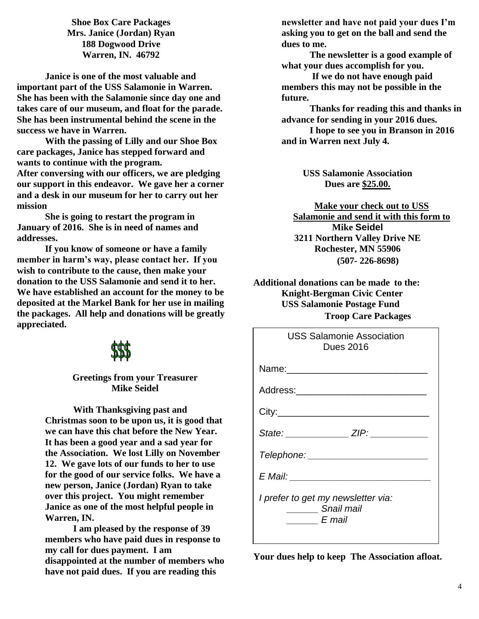**Shoe Box Care Packages Mrs. Janice (Jordan) Ryan 188 Dogwood Drive Warren, IN. 46792**

**Janice is one of the most valuable and important part of the USS Salamonie in Warren. She has been with the Salamonie since day one and takes care of our museum, and float for the parade. She has been instrumental behind the scene in the success we have in Warren.**

**With the passing of Lilly and our Shoe Box care packages, Janice has stepped forward and wants to continue with the program. After conversing with our officers, we are pledging our support in this endeavor. We gave her a corner and a desk in our museum for her to carry out her mission**

**She is going to restart the program in January of 2016. She is in need of names and addresses.**

**If you know of someone or have a family member in harm's way, please contact her. If you wish to contribute to the cause, then make your donation to the USS Salamonie and send it to her. We have established an account for the money to be deposited at the Markel Bank for her use in mailing the packages. All help and donations will be greatly appreciated.**

### **Greetings from your Treasurer Mike Seidel**

**With Thanksgiving past and Christmas soon to be upon us, it is good that we can have this chat before the New Year. It has been a good year and a sad year for the Association. We lost Lilly on November 12. We gave lots of our funds to her to use for the good of our service folks. We have a new person, Janice (Jordan) Ryan to take over this project. You might remember Janice as one of the most helpful people in Warren, IN.** 

**I am pleased by the response of 39 members who have paid dues in response to my call for dues payment. I am disappointed at the number of members who have not paid dues. If you are reading this** 

**newsletter and have not paid your dues I'm asking you to get on the ball and send the dues to me.**

**The newsletter is a good example of what your dues accomplish for you.** 

**If we do not have enough paid members this may not be possible in the future.**

**Thanks for reading this and thanks in advance for sending in your 2016 dues.**

**I hope to see you in Branson in 2016 and in Warren next July 4.**

> **USS Salamonie Association Dues are \$25.00.**

**Make your check out to USS Salamonie and send it with this form to Mike Seidel 3211 Northern Valley Drive NE Rochester, MN 55906 (507- 226-8698)**

**Additional donations can be made to the: Knight-Bergman Civic Center USS Salamonie Postage Fund Troop Care Packages**

| <b>USS Salamonie Association</b><br>Dues 2016                          |
|------------------------------------------------------------------------|
|                                                                        |
| Address:___________________________                                    |
|                                                                        |
| State: ________________ ZIP: ___________                               |
| Telephone: _______________________                                     |
| E Mail: __________________________                                     |
| I prefer to get my newsletter via:<br>Snail mail<br>$\frac{E}{E}$ mail |

**Your dues help to keep The Association afloat.**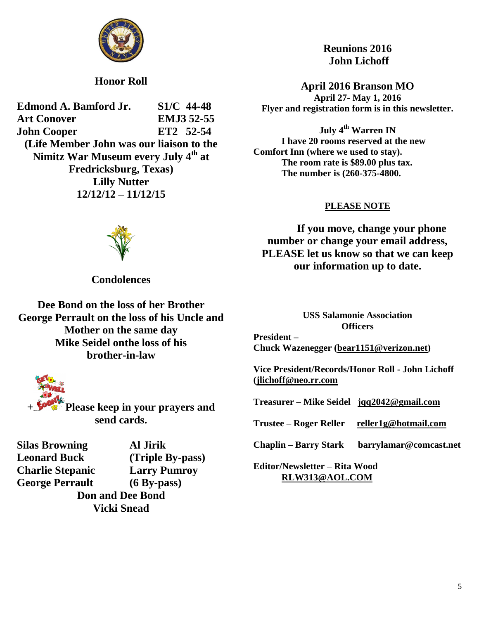

**Honor Roll**

**Edmond A. Bamford Jr. S1/C 44-48 Art Conover EMJ3 52-55 John Cooper ET2 52-54 (Life Member John was our liaison to the Nimitz War Museum every July 4th at Fredricksburg, Texas) Lilly Nutter 12/12/12 – 11/12/15**



**Condolences**

**Dee Bond on the loss of her Brother George Perrault on the loss of his Uncle and Mother on the same day Mike Seidel onthe loss of his brother-in-law**

**+ Please keep in your prayers and send cards.**

**Silas Browning Al Jirik Leonard Buck (Triple By-pass) Charlie Stepanic Larry Pumroy George Perrault (6 By-pass)**

**Don and Dee Bond Vicki Snead**

**Reunions 2016 John Lichoff**

**April 2016 Branson MO April 27- May 1, 2016 Flyer and registration form is in this newsletter.**

**July 4th Warren IN I have 20 rooms reserved at the new Comfort Inn (where we used to stay). The room rate is \$89.00 plus tax. The number is (260-375-4800.**

### **PLEASE NOTE**

**If you move, change your phone number or change your email address, PLEASE let us know so that we can keep our information up to date.**

**USS Salamonie Association Officers President – Chuck Wazenegger [\(bear1151@verizon.net\)](mailto:bear1151@verizon.net) Vice President/Records/Honor Roll - John Lichoff [\(jlichoff@neo.rr.com](mailto:jlichoff@neo.rr.com) Treasurer – Mike Seidel [jqq2042@gmail.com](mailto:jqq2042@gmail.com)**

**Trustee – Roger Reller [reller1g@hotmail.com](mailto:reller1g@hotmail.com)**

**Chaplin – Barry Stark barrylamar@comcast.net**

**Editor/Newsletter – Rita Wood [RLW313@AOL.COM](mailto:RLW313@AOL.COM)**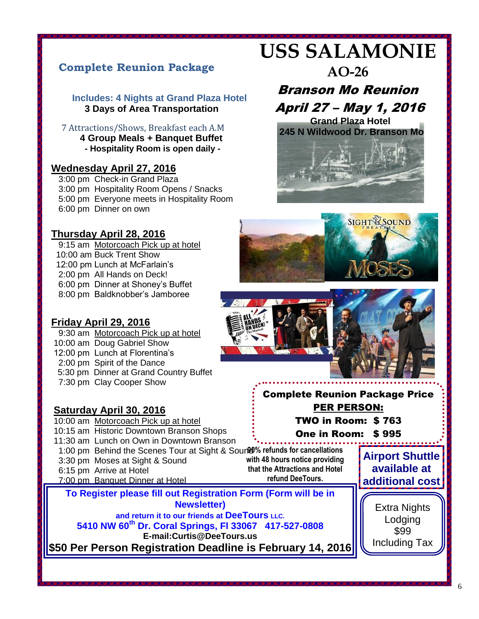# **Complete Reunion Package**

#### **Includes: 4 Nights at Grand Plaza Hotel 3 Days of Area Transportation**

 7 Attractions/Shows, Breakfast each A.M  **4 Group Meals + Banquet Buffet - Hospitality Room is open daily -**

#### **Wednesday April 27, 2016**

 3:00 pm Check-in Grand Plaza 3:00 pm Hospitality Room Opens / Snacks 5:00 pm Everyone meets in Hospitality Room 6:00 pm Dinner on own

## **Thursday April 28, 2016**

9:15 am Motorcoach Pick up at hotel 10:00 am Buck Trent Show 12:00 pm Lunch at McFarlain's 2:00 pm All Hands on Deck! 6:00 pm Dinner at Shoney's Buffet 8:00 pm Baldknobber's Jamboree

# **USS SALAMONIE**

# **AO-26**

# Branson Mo Reunion April 27 – May 1, 2016





## **Friday April 29, 2016**

 9:30 am Motorcoach Pick up at hotel 10:00 am Doug Gabriel Show 12:00 pm Lunch at Florentina's 2:00 pm Spirit of the Dance 5:30 pm Dinner at Grand Country Buffet 7:30 pm Clay Cooper Show

### **Saturday April 30, 2016**

10:00 am Motorcoach Pick up at hotel 10:15 am Historic Downtown Branson Shops 11:30 am Lunch on Own in Downtown Branson 1:00 pm Behind the Scenes Tour at Sight & Soure 0% refunds for cancellations 3:30 pm Moses at Sight & Sound 6:15 pm Arrive at Hotel 7:00 pm Banquet Dinner at Hotel

**with 48 hours notice providing that the Attractions and Hotel refund DeeTours.**

**Sunday May 1, 2016 To Register please fill out Registration Form (Form will be in Newsletter)** 

and return it to our friends at Dee Fours LLC.<br>5410 NW 60<sup>th</sup> Dr. Coral Springs, Fl 33067 417-527-0808 **and return it to our friends at DeeTours LLC.**

**E-mail:Curtis@DeeTours.us** 

**\$50 Per Person Registration Deadline is February 14, 2016 Balance Due March 15, 2016** 



Complete Reunion Package Price PER PERSON: TWO in Room: \$ 763

One in Room: \$ 995

**Airport Shuttle available at additional cost**

> Extra Nights Lodging \$99 Including Tax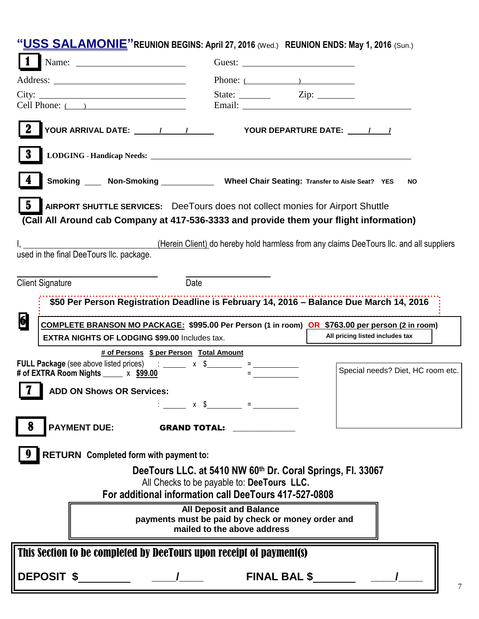|                         | "USS SALAMONIE" REUNION BEGINS: April 27, 2016 (Wed.) REUNION ENDS: May 1, 2016 (Sun.)          |                                                                                                                                                                                                                                                                                                                                                    |            |                                 |                                   |   |
|-------------------------|-------------------------------------------------------------------------------------------------|----------------------------------------------------------------------------------------------------------------------------------------------------------------------------------------------------------------------------------------------------------------------------------------------------------------------------------------------------|------------|---------------------------------|-----------------------------------|---|
|                         |                                                                                                 |                                                                                                                                                                                                                                                                                                                                                    |            |                                 |                                   |   |
|                         |                                                                                                 |                                                                                                                                                                                                                                                                                                                                                    | Phone: $($ |                                 |                                   |   |
|                         | City:                                                                                           |                                                                                                                                                                                                                                                                                                                                                    |            |                                 |                                   |   |
|                         | Cell Phone: $($ )                                                                               |                                                                                                                                                                                                                                                                                                                                                    |            |                                 |                                   |   |
|                         |                                                                                                 |                                                                                                                                                                                                                                                                                                                                                    |            |                                 |                                   |   |
|                         |                                                                                                 |                                                                                                                                                                                                                                                                                                                                                    |            |                                 |                                   |   |
|                         | Smoking _____ Non-Smoking _______________ Wheel Chair Seating: Transfer to Aisle Seat? YES      |                                                                                                                                                                                                                                                                                                                                                    |            |                                 | <b>NO</b>                         |   |
| $\bf{5}$                | AIRPORT SHUTTLE SERVICES: DeeTours does not collect monies for Airport Shuttle                  |                                                                                                                                                                                                                                                                                                                                                    |            |                                 |                                   |   |
|                         | (Call All Around cab Company at 417-536-3333 and provide them your flight information)          |                                                                                                                                                                                                                                                                                                                                                    |            |                                 |                                   |   |
|                         |                                                                                                 |                                                                                                                                                                                                                                                                                                                                                    |            |                                 |                                   |   |
|                         | used in the final DeeTours Ilc. package.                                                        | (Herein Client) do hereby hold harmless from any claims DeeTours IIc. and all suppliers                                                                                                                                                                                                                                                            |            |                                 |                                   |   |
|                         |                                                                                                 |                                                                                                                                                                                                                                                                                                                                                    |            |                                 |                                   |   |
| <b>Client Signature</b> |                                                                                                 | Date                                                                                                                                                                                                                                                                                                                                               |            |                                 |                                   |   |
|                         | \$50 Per Person Registration Deadline is February 14, 2016 - Balance Due March 14, 2016         |                                                                                                                                                                                                                                                                                                                                                    |            |                                 |                                   |   |
| 6                       | COMPLETE BRANSON MO PACKAGE: \$995.00 Per Person (1 in room) OR \$763.00 per person (2 in room) |                                                                                                                                                                                                                                                                                                                                                    |            |                                 |                                   |   |
|                         | <b>EXTRA NIGHTS OF LODGING \$99.00 Includes tax.</b>                                            |                                                                                                                                                                                                                                                                                                                                                    |            | All pricing listed includes tax |                                   |   |
|                         | <b>FULL Package</b> (see above listed prices) $\therefore$ ______ x \$________ = ___________    | # of Persons \$ per Person Total Amount                                                                                                                                                                                                                                                                                                            |            |                                 |                                   |   |
|                         | # of EXTRA Room Nights _____ x \$99.00                                                          |                                                                                                                                                                                                                                                                                                                                                    |            |                                 | Special needs? Diet, HC room etc. |   |
| I 7 I                   | <b>ADD ON Shows OR Services:</b>                                                                |                                                                                                                                                                                                                                                                                                                                                    |            |                                 |                                   |   |
|                         |                                                                                                 | $\therefore$ $\qquad \qquad$ $\qquad$ $\qquad$ $\qquad$ $\qquad$ $\qquad$ $\qquad$ $\qquad$ $\qquad$ $\qquad$ $\qquad$ $\qquad$ $\qquad$ $\qquad$ $\qquad$ $\qquad$ $\qquad$ $\qquad$ $\qquad$ $\qquad$ $\qquad$ $\qquad$ $\qquad$ $\qquad$ $\qquad$ $\qquad$ $\qquad$ $\qquad$ $\qquad$ $\qquad$ $\qquad$ $\qquad$ $\qquad$ $\qquad$ $\qquad$ $\$ |            |                                 |                                   |   |
|                         | <b>PAYMENT DUE:</b>                                                                             | <b>GRAND TOTAL:</b>                                                                                                                                                                                                                                                                                                                                |            |                                 |                                   |   |
|                         | <b>RETURN</b> Completed form with payment to:                                                   |                                                                                                                                                                                                                                                                                                                                                    |            |                                 |                                   |   |
|                         |                                                                                                 | DeeTours LLC. at 5410 NW 60th Dr. Coral Springs, Fl. 33067                                                                                                                                                                                                                                                                                         |            |                                 |                                   |   |
|                         |                                                                                                 | All Checks to be payable to: DeeTours LLC.                                                                                                                                                                                                                                                                                                         |            |                                 |                                   |   |
|                         |                                                                                                 | For additional information call DeeTours 417-527-0808                                                                                                                                                                                                                                                                                              |            |                                 |                                   |   |
|                         |                                                                                                 | <b>All Deposit and Balance</b><br>payments must be paid by check or money order and                                                                                                                                                                                                                                                                |            |                                 |                                   |   |
|                         |                                                                                                 | mailed to the above address                                                                                                                                                                                                                                                                                                                        |            |                                 |                                   |   |
|                         | This Section to be completed by DeeTours upon receipt of payment(s)                             |                                                                                                                                                                                                                                                                                                                                                    |            |                                 |                                   |   |
|                         |                                                                                                 |                                                                                                                                                                                                                                                                                                                                                    |            |                                 |                                   | 7 |
|                         |                                                                                                 |                                                                                                                                                                                                                                                                                                                                                    |            |                                 |                                   |   |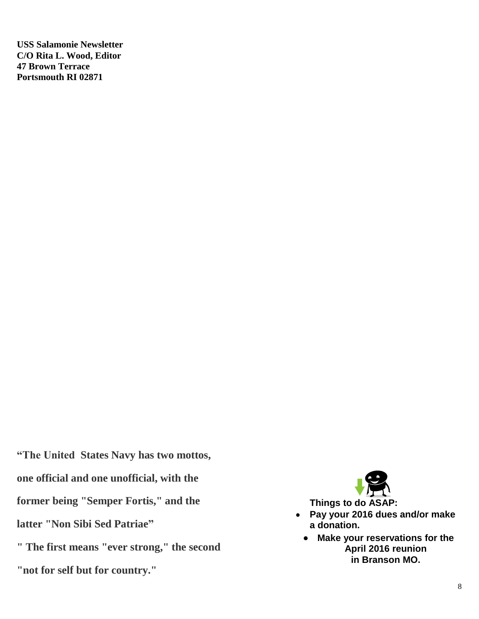**USS Salamonie Newsletter C/O Rita L. Wood, Editor 47 Brown Terrace Portsmouth RI 02871**

**"The United States Navy has two mottos, one official and one unofficial, with the former being "Semper Fortis," and the latter "Non Sibi Sed Patriae"**

**" The first means "ever strong," the second "not for self but for country."**



- **Pay your 2016 dues and/or make a donation.**
	- **Make your reservations for the April 2016 reunion in Branson MO.**